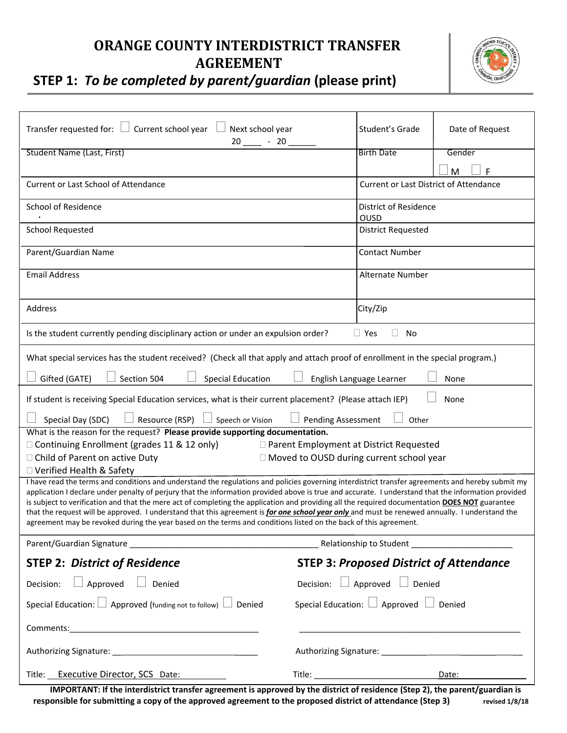## **ORANGE COUNTY INTERDISTRICT TRANSFER AGREEMENT**



## **STEP 1:** *To be completed by parent/guardian* **(please print)**

| Transfer requested for: $\Box$ Current school year<br>Next school year<br>$20 - 20$                                                                                                                                                                                                                                                                                                                                                                                                                                                                                                                                                                                                                                              |                                                  | Student's Grade           | Date of Request |
|----------------------------------------------------------------------------------------------------------------------------------------------------------------------------------------------------------------------------------------------------------------------------------------------------------------------------------------------------------------------------------------------------------------------------------------------------------------------------------------------------------------------------------------------------------------------------------------------------------------------------------------------------------------------------------------------------------------------------------|--------------------------------------------------|---------------------------|-----------------|
| <b>Student Name (Last, First)</b>                                                                                                                                                                                                                                                                                                                                                                                                                                                                                                                                                                                                                                                                                                |                                                  | <b>Birth Date</b>         | Gender          |
|                                                                                                                                                                                                                                                                                                                                                                                                                                                                                                                                                                                                                                                                                                                                  |                                                  |                           | F<br>M          |
| Current or Last School of Attendance                                                                                                                                                                                                                                                                                                                                                                                                                                                                                                                                                                                                                                                                                             | <b>Current or Last District of Attendance</b>    |                           |                 |
| School of Residence                                                                                                                                                                                                                                                                                                                                                                                                                                                                                                                                                                                                                                                                                                              | District of Residence<br>OUSD                    |                           |                 |
| <b>School Requested</b>                                                                                                                                                                                                                                                                                                                                                                                                                                                                                                                                                                                                                                                                                                          |                                                  | <b>District Requested</b> |                 |
| Parent/Guardian Name                                                                                                                                                                                                                                                                                                                                                                                                                                                                                                                                                                                                                                                                                                             |                                                  | <b>Contact Number</b>     |                 |
| <b>Email Address</b>                                                                                                                                                                                                                                                                                                                                                                                                                                                                                                                                                                                                                                                                                                             |                                                  | Alternate Number          |                 |
|                                                                                                                                                                                                                                                                                                                                                                                                                                                                                                                                                                                                                                                                                                                                  |                                                  |                           |                 |
| Address                                                                                                                                                                                                                                                                                                                                                                                                                                                                                                                                                                                                                                                                                                                          |                                                  | City/Zip                  |                 |
| Is the student currently pending disciplinary action or under an expulsion order?<br>$\Box$ Yes<br>No                                                                                                                                                                                                                                                                                                                                                                                                                                                                                                                                                                                                                            |                                                  |                           |                 |
| What special services has the student received? (Check all that apply and attach proof of enrollment in the special program.)                                                                                                                                                                                                                                                                                                                                                                                                                                                                                                                                                                                                    |                                                  |                           |                 |
| Gifted (GATE)<br>Section 504<br><b>Special Education</b><br>English Language Learner<br>None                                                                                                                                                                                                                                                                                                                                                                                                                                                                                                                                                                                                                                     |                                                  |                           |                 |
| None<br>If student is receiving Special Education services, what is their current placement? (Please attach IEP)                                                                                                                                                                                                                                                                                                                                                                                                                                                                                                                                                                                                                 |                                                  |                           |                 |
| Resource (RSP)<br>Speech or Vision<br>Special Day (SDC)<br><b>Pending Assessment</b><br>Other                                                                                                                                                                                                                                                                                                                                                                                                                                                                                                                                                                                                                                    |                                                  |                           |                 |
| What is the reason for the request? Please provide supporting documentation.                                                                                                                                                                                                                                                                                                                                                                                                                                                                                                                                                                                                                                                     |                                                  |                           |                 |
| $\Box$ Continuing Enrollment (grades 11 & 12 only)<br>□ Parent Employment at District Requested                                                                                                                                                                                                                                                                                                                                                                                                                                                                                                                                                                                                                                  |                                                  |                           |                 |
| □ Moved to OUSD during current school year<br>□ Child of Parent on active Duty<br>□ Verified Health & Safety                                                                                                                                                                                                                                                                                                                                                                                                                                                                                                                                                                                                                     |                                                  |                           |                 |
| I have read the terms and conditions and understand the regulations and policies governing interdistrict transfer agreements and hereby submit my<br>application I declare under penalty of perjury that the information provided above is true and accurate. I understand that the information provided<br>is subject to verification and that the mere act of completing the application and providing all the required documentation DOES NOT guarantee<br>that the request will be approved. I understand that this agreement is for one school year only and must be renewed annually. I understand the<br>agreement may be revoked during the year based on the terms and conditions listed on the back of this agreement. |                                                  |                           |                 |
|                                                                                                                                                                                                                                                                                                                                                                                                                                                                                                                                                                                                                                                                                                                                  |                                                  |                           |                 |
| <b>STEP 3: Proposed District of Attendance</b><br><b>STEP 2: District of Residence</b>                                                                                                                                                                                                                                                                                                                                                                                                                                                                                                                                                                                                                                           |                                                  |                           |                 |
| $\Box$ Approved $\Box$ Denied<br>Decision: $\Box$ Approved $\Box$ Denied<br>Decision:                                                                                                                                                                                                                                                                                                                                                                                                                                                                                                                                                                                                                                            |                                                  |                           |                 |
| Special Education: $\Box$ Approved (funding not to follow) $\Box$ Denied                                                                                                                                                                                                                                                                                                                                                                                                                                                                                                                                                                                                                                                         | Special Education: $\Box$ Approved $\Box$ Denied |                           |                 |
|                                                                                                                                                                                                                                                                                                                                                                                                                                                                                                                                                                                                                                                                                                                                  |                                                  |                           |                 |
|                                                                                                                                                                                                                                                                                                                                                                                                                                                                                                                                                                                                                                                                                                                                  |                                                  |                           |                 |
| Title: Executive Director, SCS Date:                                                                                                                                                                                                                                                                                                                                                                                                                                                                                                                                                                                                                                                                                             | Date:                                            |                           |                 |

**IMPORTANT: If the interdistrict transfer agreement is approved by the district of residence (Step 2), the parent/guardian is responsible for submitting a copy of the approved agreement to the proposed district of attendance (Step 3) revised 1/8/18**